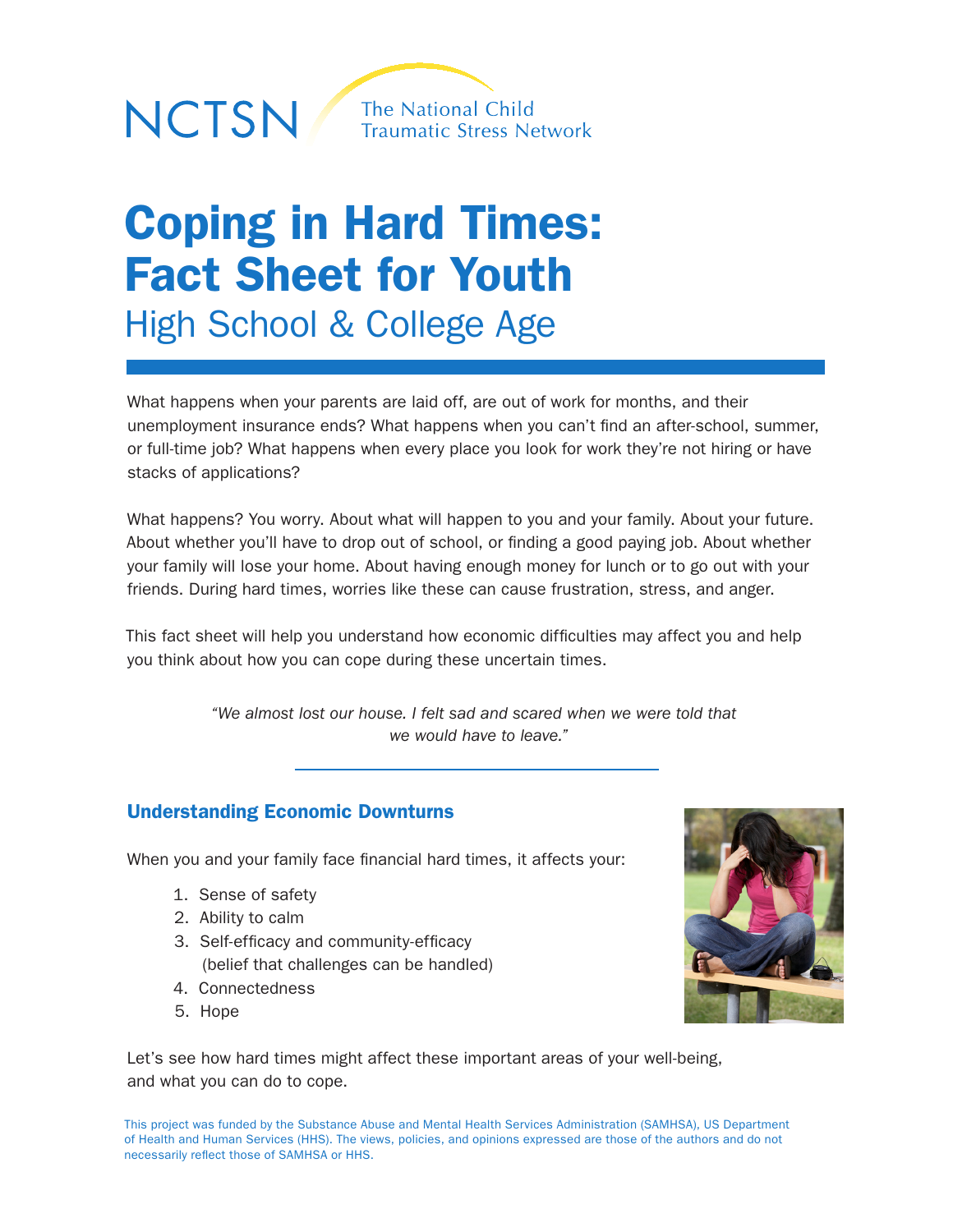

**The National Child Traumatic Stress Network** 

# Coping in Hard Times: Fact Sheet for Youth High School & College Age

What happens when your parents are laid off, are out of work for months, and their unemployment insurance ends? What happens when you can't find an after-school, summer, or full-time job? What happens when every place you look for work they're not hiring or have stacks of applications?

What happens? You worry. About what will happen to you and your family. About your future. About whether you'll have to drop out of school, or finding a good paying job. About whether your family will lose your home. About having enough money for lunch or to go out with your friends. During hard times, worries like these can cause frustration, stress, and anger.

This fact sheet will help you understand how economic difficulties may affect you and help you think about how you can cope during these uncertain times.

> *"We almost lost our house. I felt sad and scared when we were told that we would have to leave."*

### Understanding Economic Downturns

When you and your family face financial hard times, it affects your:

- 1. Sense of safety
- 2. Ability to calm
- 3. Self-efficacy and community-efficacy (belief that challenges can be handled)
- 4. Connectedness
- 5. Hope



Let's see how hard times might affect these important areas of your well-being, and what you can do to cope.

This project was funded by the Substance Abuse and Mental Health Services Administration (SAMHSA), US Department of Health and Human Services (HHS). The views, policies, and opinions expressed are those of the authors and do not necessarily reflect those of SAMHSA or HHS.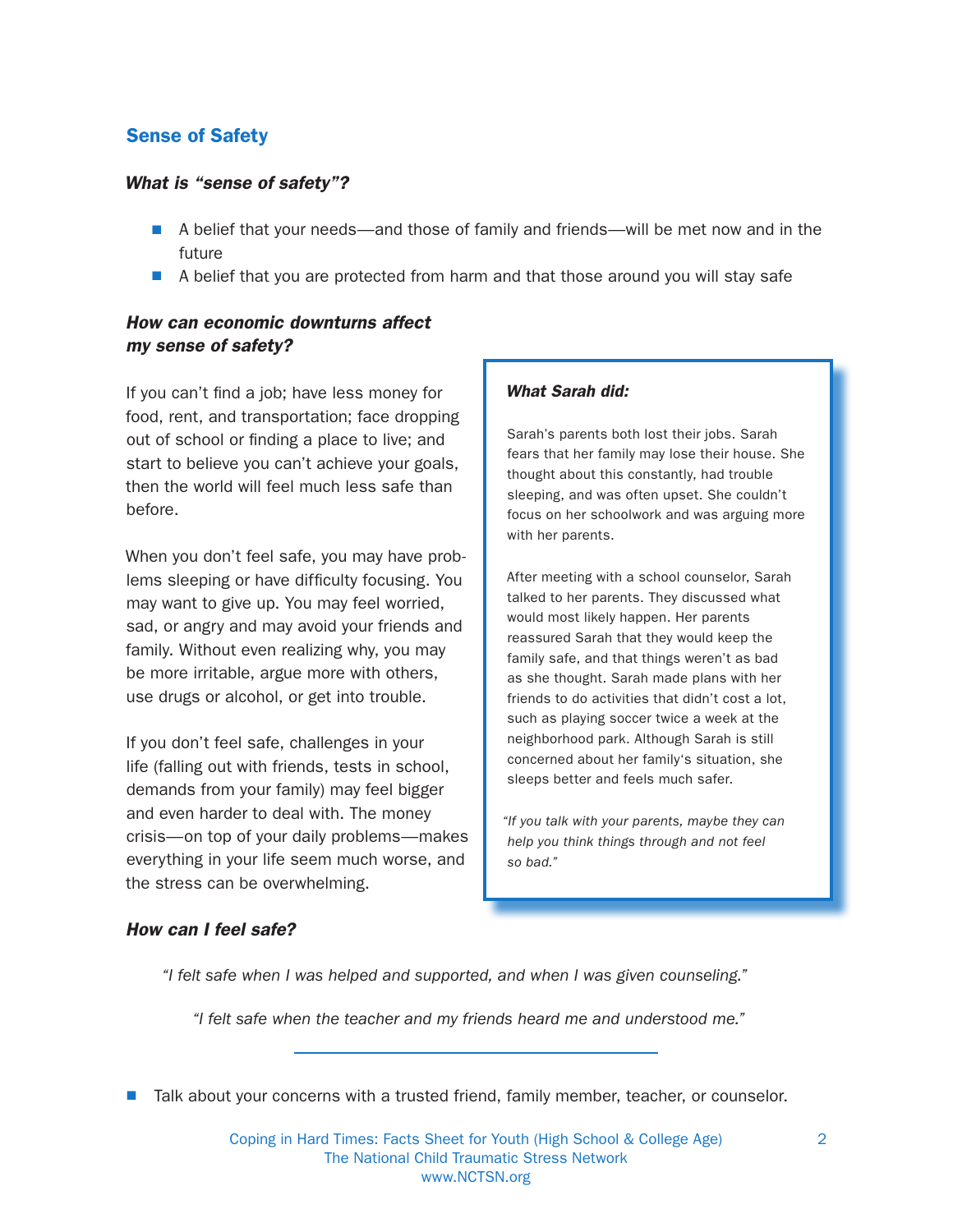# Sense of Safety

#### *What is "sense of safety"?*

- A belief that your needs—and those of family and friends—will be met now and in the future
- $\blacksquare$  A belief that you are protected from harm and that those around you will stay safe

### *How can economic downturns affect my sense of safety?*

If you can't find a job; have less money for food, rent, and transportation; face dropping out of school or finding a place to live; and start to believe you can't achieve your goals, then the world will feel much less safe than before.

When you don't feel safe, you may have problems sleeping or have difficulty focusing. You may want to give up. You may feel worried, sad, or angry and may avoid your friends and family. Without even realizing why, you may be more irritable, argue more with others, use drugs or alcohol, or get into trouble.

If you don't feel safe, challenges in your life (falling out with friends, tests in school, demands from your family) may feel bigger and even harder to deal with. The money crisis—on top of your daily problems—makes everything in your life seem much worse, and the stress can be overwhelming.

#### *What Sarah did:*

Sarah's parents both lost their jobs. Sarah fears that her family may lose their house. She thought about this constantly, had trouble sleeping, and was often upset. She couldn't focus on her schoolwork and was arguing more with her parents.

After meeting with a school counselor, Sarah talked to her parents. They discussed what would most likely happen. Her parents reassured Sarah that they would keep the family safe, and that things weren't as bad as she thought. Sarah made plans with her friends to do activities that didn't cost a lot, such as playing soccer twice a week at the neighborhood park. Although Sarah is still concerned about her family's situation, she sleeps better and feels much safer.

*"If you talk with your parents, maybe they can help you think things through and not feel so bad."*

#### *How can I feel safe?*

*"I felt safe when I was helped and supported, and when I was given counseling."* 

*"I felt safe when the teacher and my friends heard me and understood me."*

Talk about your concerns with a trusted friend, family member, teacher, or counselor.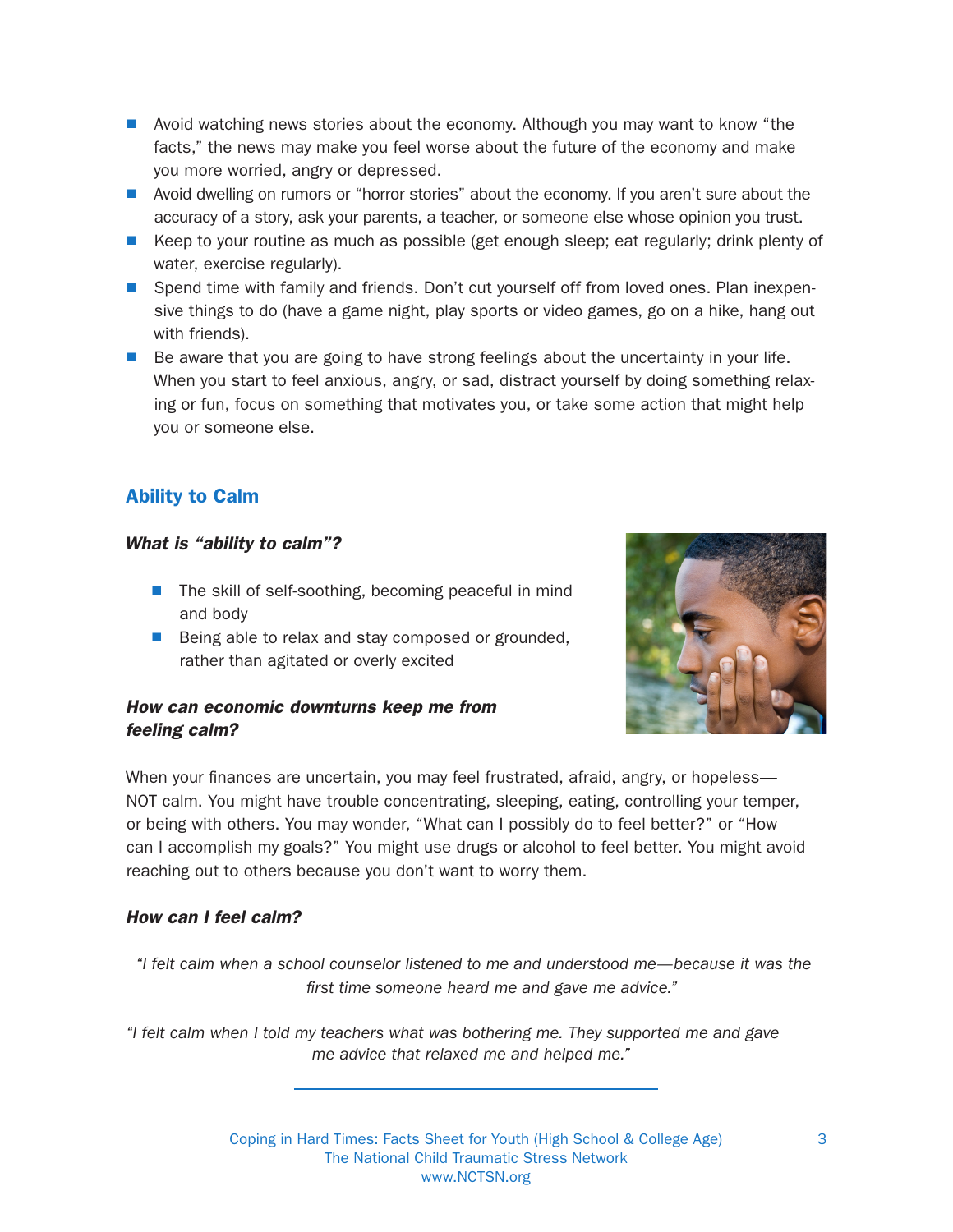- **n** Avoid watching news stories about the economy. Although you may want to know "the facts," the news may make you feel worse about the future of the economy and make you more worried, angry or depressed.
- **n** Avoid dwelling on rumors or "horror stories" about the economy. If you aren't sure about the accuracy of a story, ask your parents, a teacher, or someone else whose opinion you trust.
- **E** Keep to your routine as much as possible (get enough sleep; eat regularly; drink plenty of water, exercise regularly).
- **n** Spend time with family and friends. Don't cut yourself off from loved ones. Plan inexpensive things to do (have a game night, play sports or video games, go on a hike, hang out with friends).
- $\blacksquare$  Be aware that you are going to have strong feelings about the uncertainty in your life. When you start to feel anxious, angry, or sad, distract yourself by doing something relaxing or fun, focus on something that motivates you, or take some action that might help you or someone else.

# Ability to Calm

### *What is "ability to calm"?*

- $\blacksquare$  The skill of self-soothing, becoming peaceful in mind and body
- $\blacksquare$  Being able to relax and stay composed or grounded, rather than agitated or overly excited

### *How can economic downturns keep me from feeling calm?*

When your finances are uncertain, you may feel frustrated, afraid, angry, or hopeless— NOT calm. You might have trouble concentrating, sleeping, eating, controlling your temper, or being with others. You may wonder, "What can I possibly do to feel better?" or "How can I accomplish my goals?" You might use drugs or alcohol to feel better. You might avoid reaching out to others because you don't want to worry them.

### *How can I feel calm?*

*"I felt calm when a school counselor listened to me and understood me—because it was the first time someone heard me and gave me advice."*

*"I felt calm when I told my teachers what was bothering me. They supported me and gave me advice that relaxed me and helped me."*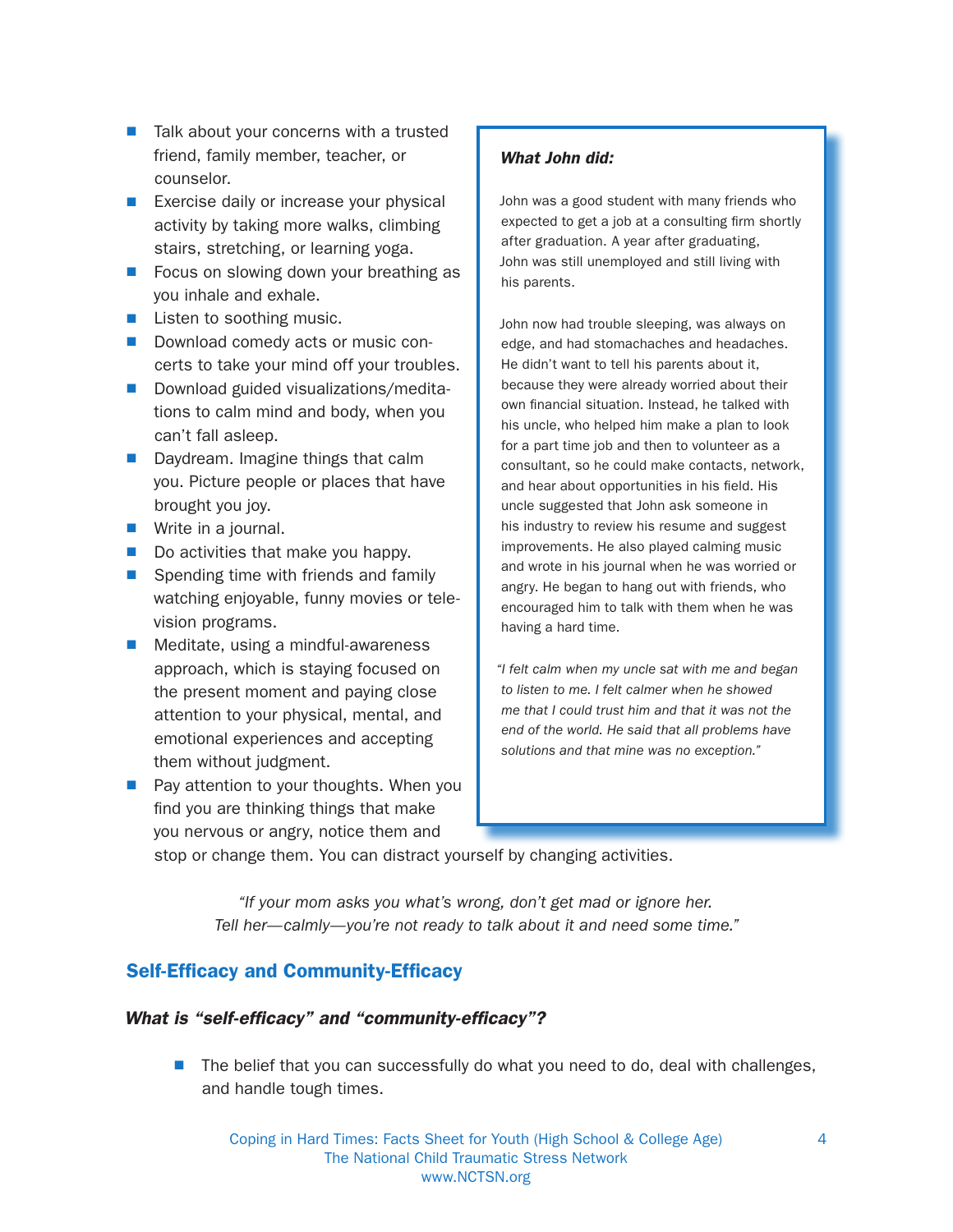- $\blacksquare$  Talk about your concerns with a trusted friend, family member, teacher, or counselor.
- $\blacksquare$  Exercise daily or increase your physical activity by taking more walks, climbing stairs, stretching, or learning yoga.
- $\blacksquare$  Focus on slowing down your breathing as you inhale and exhale.
- $\blacksquare$  Listen to soothing music.
- Download comedy acts or music concerts to take your mind off your troubles.
- $\blacksquare$  Download guided visualizations/meditations to calm mind and body, when you can't fall asleep.
- $\blacksquare$  Daydream. Imagine things that calm you. Picture people or places that have brought you joy.
- $\blacksquare$  Write in a journal.
- $\blacksquare$  Do activities that make you happy.
- **n** Spending time with friends and family watching enjoyable, funny movies or television programs.
- $\blacksquare$  Meditate, using a mindful-awareness approach, which is staying focused on the present moment and paying close attention to your physical, mental, and emotional experiences and accepting them without judgment.
- $\blacksquare$  Pay attention to your thoughts. When you find you are thinking things that make you nervous or angry, notice them and

#### *What John did:*

John was a good student with many friends who expected to get a job at a consulting firm shortly after graduation. A year after graduating, John was still unemployed and still living with his parents.

John now had trouble sleeping, was always on edge, and had stomachaches and headaches. He didn't want to tell his parents about it, because they were already worried about their own financial situation. Instead, he talked with his uncle, who helped him make a plan to look for a part time job and then to volunteer as a consultant, so he could make contacts, network, and hear about opportunities in his field. His uncle suggested that John ask someone in his industry to review his resume and suggest improvements. He also played calming music and wrote in his journal when he was worried or angry. He began to hang out with friends, who encouraged him to talk with them when he was having a hard time.

*"I felt calm when my uncle sat with me and began to listen to me. I felt calmer when he showed me that I could trust him and that it was not the end of the world. He said that all problems have solutions and that mine was no exception."*

stop or change them. You can distract yourself by changing activities.

*"If your mom asks you what's wrong, don't get mad or ignore her. Tell her—calmly—you're not ready to talk about it and need some time."*

### Self-Efficacy and Community-Efficacy

#### *What is "self-efficacy" and "community-efficacy"?*

 $\blacksquare$  The belief that you can successfully do what you need to do, deal with challenges, and handle tough times.

Coping in Hard Times: Facts Sheet for Youth (High School & College Age) 4 The National Child Traumatic Stress Network www.NCTSN.org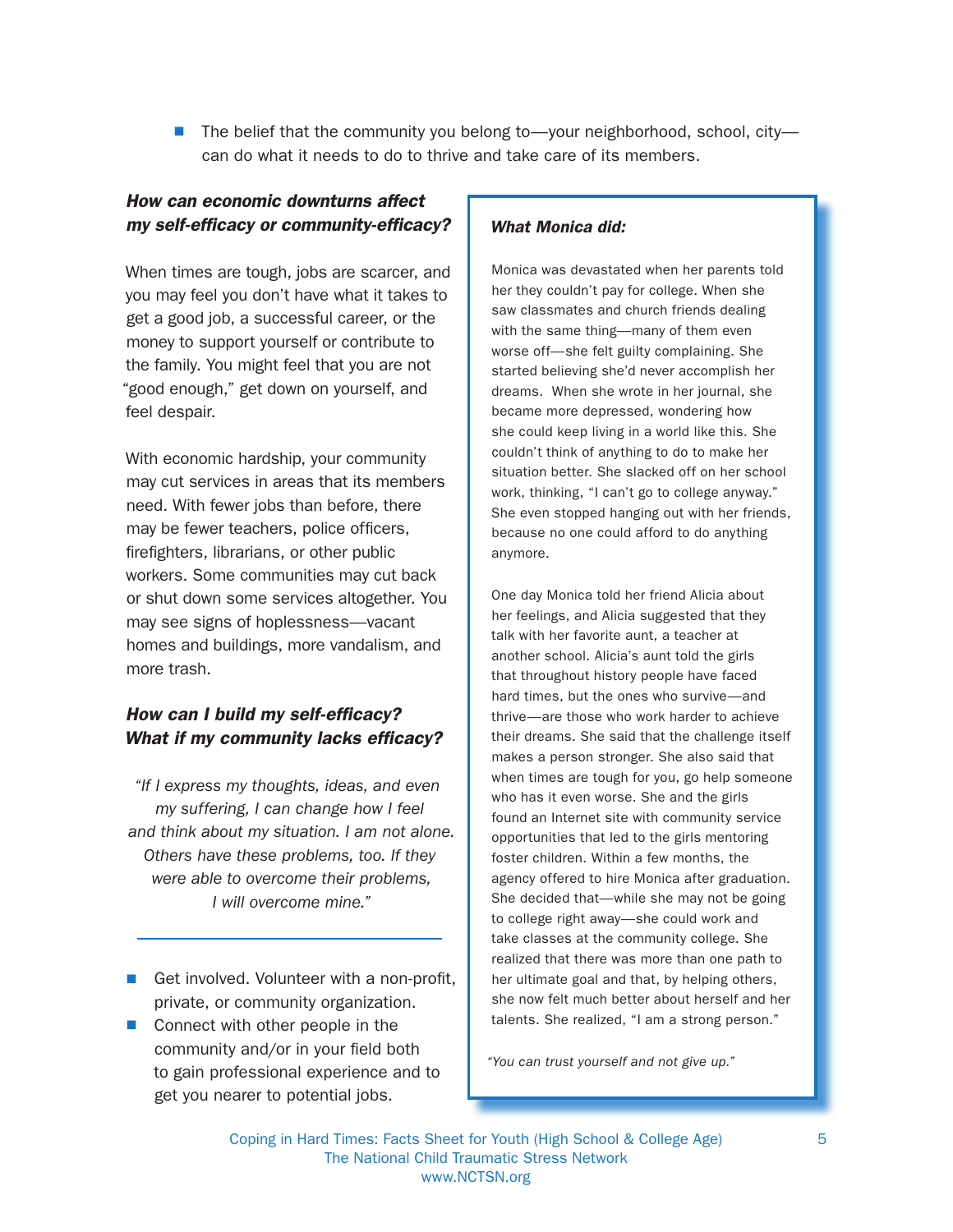$\blacksquare$  The belief that the community you belong to—your neighborhood, school, city can do what it needs to do to thrive and take care of its members.

### *How can economic downturns affect my self-efficacy or community-efficacy?*

When times are tough, jobs are scarcer, and you may feel you don't have what it takes to get a good job, a successful career, or the money to support yourself or contribute to the family. You might feel that you are not "good enough," get down on yourself, and feel despair.

With economic hardship, your community may cut services in areas that its members need. With fewer jobs than before, there may be fewer teachers, police officers, firefighters, librarians, or other public workers. Some communities may cut back or shut down some services altogether. You may see signs of hoplessness—vacant homes and buildings, more vandalism, and more trash.

# *How can I build my self-efficacy? What if my community lacks efficacy?*

*"If I express my thoughts, ideas, and even my suffering, I can change how I feel and think about my situation. I am not alone. Others have these problems, too. If they were able to overcome their problems, I will overcome mine."*

- Get involved. Volunteer with a non-profit, private, or community organization.
- $\blacksquare$  Connect with other people in the community and/or in your field both to gain professional experience and to get you nearer to potential jobs.

#### *What Monica did:*

Monica was devastated when her parents told her they couldn't pay for college. When she saw classmates and church friends dealing with the same thing—many of them even worse off—she felt guilty complaining. She started believing she'd never accomplish her dreams. When she wrote in her journal, she became more depressed, wondering how she could keep living in a world like this. She couldn't think of anything to do to make her situation better. She slacked off on her school work, thinking, "I can't go to college anyway." She even stopped hanging out with her friends, because no one could afford to do anything anymore.

One day Monica told her friend Alicia about her feelings, and Alicia suggested that they talk with her favorite aunt, a teacher at another school. Alicia's aunt told the girls that throughout history people have faced hard times, but the ones who survive—and thrive—are those who work harder to achieve their dreams. She said that the challenge itself makes a person stronger. She also said that when times are tough for you, go help someone who has it even worse. She and the girls found an Internet site with community service opportunities that led to the girls mentoring foster children. Within a few months, the agency offered to hire Monica after graduation. She decided that—while she may not be going to college right away—she could work and take classes at the community college. She realized that there was more than one path to her ultimate goal and that, by helping others, she now felt much better about herself and her talents. She realized, "I am a strong person."

*"You can trust yourself and not give up."*

Coping in Hard Times: Facts Sheet for Youth (High School & College Age) 5 The National Child Traumatic Stress Network www.NCTSN.org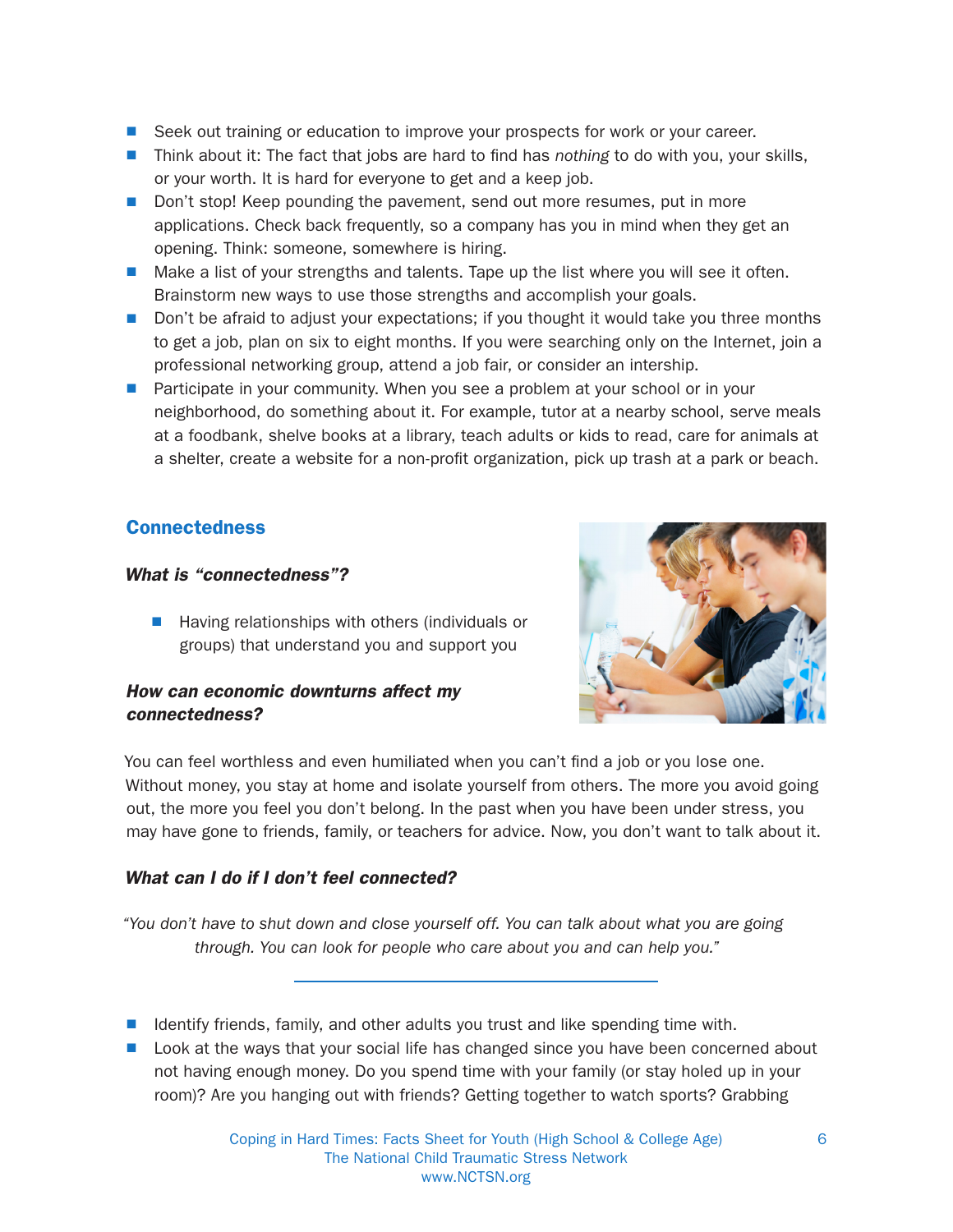- **E** Seek out training or education to improve your prospects for work or your career.
- **n** Think about it: The fact that jobs are hard to find has *nothing* to do with you, your skills, or your worth. It is hard for everyone to get and a keep job.
- **n** Don't stop! Keep pounding the pavement, send out more resumes, put in more applications. Check back frequently, so a company has you in mind when they get an opening. Think: someone, somewhere is hiring.
- $\blacksquare$  Make a list of your strengths and talents. Tape up the list where you will see it often. Brainstorm new ways to use those strengths and accomplish your goals.
- Don't be afraid to adjust your expectations; if you thought it would take you three months to get a job, plan on six to eight months. If you were searching only on the Internet, join a professional networking group, attend a job fair, or consider an intership.
- **n** Participate in your community. When you see a problem at your school or in your neighborhood, do something about it. For example, tutor at a nearby school, serve meals at a foodbank, shelve books at a library, teach adults or kids to read, care for animals at a shelter, create a website for a non-profit organization, pick up trash at a park or beach.

# **Connectedness**

#### *What is "connectedness"?*

 $\blacksquare$  Having relationships with others (individuals or groups) that understand you and support you

# *How can economic downturns affect my connectedness?*



You can feel worthless and even humiliated when you can't find a job or you lose one. Without money, you stay at home and isolate yourself from others. The more you avoid going out, the more you feel you don't belong. In the past when you have been under stress, you may have gone to friends, family, or teachers for advice. Now, you don't want to talk about it.

### *What can I do if I don't feel connected?*

*"You don't have to shut down and close yourself off. You can talk about what you are going through. You can look for people who care about you and can help you."*

- I Identify friends, family, and other adults you trust and like spending time with.
- **D** Look at the ways that your social life has changed since you have been concerned about not having enough money. Do you spend time with your family (or stay holed up in your room)? Are you hanging out with friends? Getting together to watch sports? Grabbing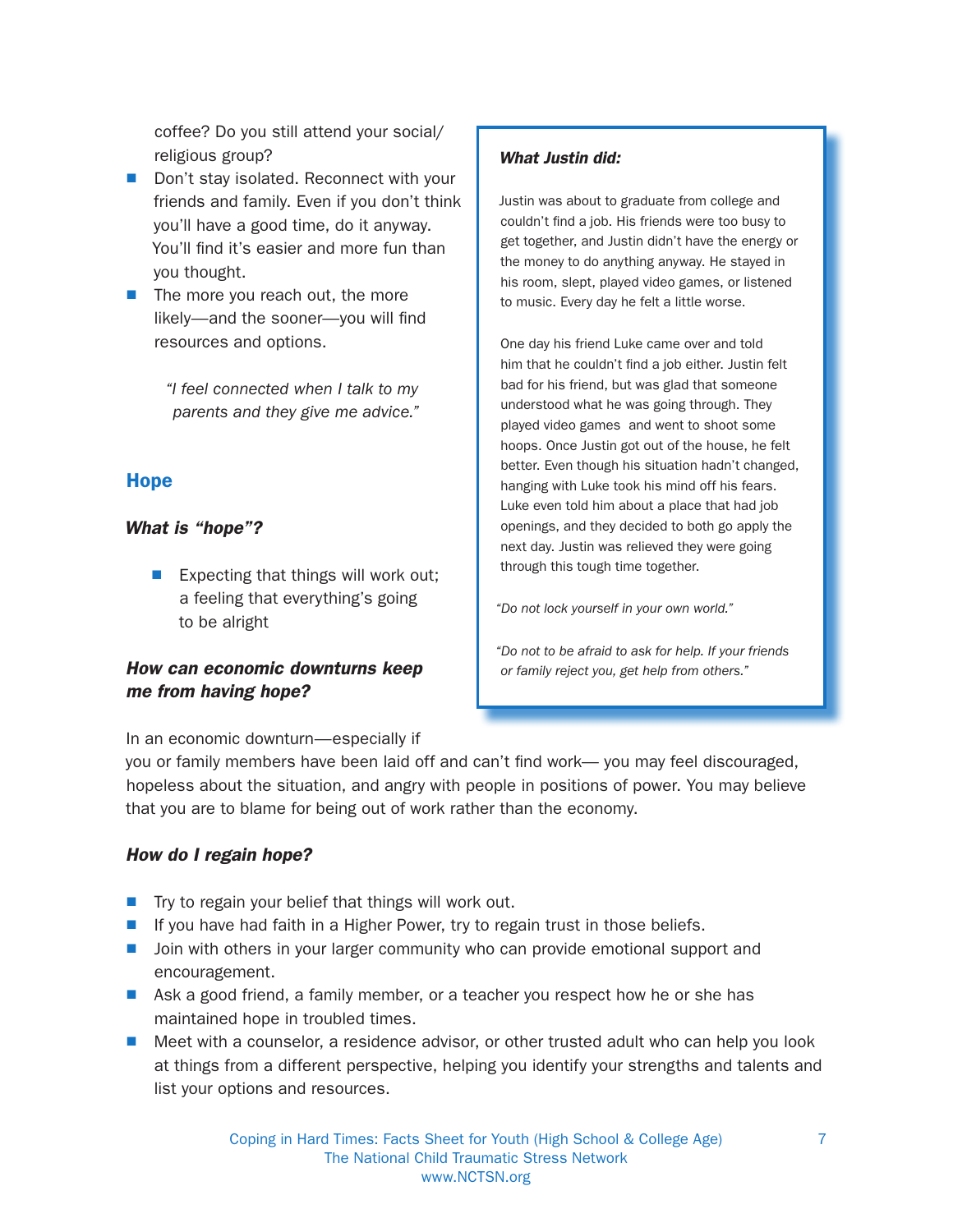coffee? Do you still attend your social/ religious group?

- Don't stay isolated. Reconnect with your friends and family. Even if you don't think you'll have a good time, do it anyway. You'll find it's easier and more fun than you thought.
- $\blacksquare$  The more you reach out, the more likely—and the sooner—you will find resources and options.

*"I feel connected when I talk to my parents and they give me advice."*

# Hope

#### *What is "hope"?*

Expecting that things will work out; a feeling that everything's going to be alright

### *How can economic downturns keep me from having hope?*

#### *What Justin did:*

Justin was about to graduate from college and couldn't find a job. His friends were too busy to get together, and Justin didn't have the energy or the money to do anything anyway. He stayed in his room, slept, played video games, or listened to music. Every day he felt a little worse.

One day his friend Luke came over and told him that he couldn't find a job either. Justin felt bad for his friend, but was glad that someone understood what he was going through. They played video games and went to shoot some hoops. Once Justin got out of the house, he felt better. Even though his situation hadn't changed, hanging with Luke took his mind off his fears. Luke even told him about a place that had job openings, and they decided to both go apply the next day. Justin was relieved they were going through this tough time together.

*"Do not lock yourself in your own world."*

*"Do not to be afraid to ask for help. If your friends or family reject you, get help from others."*

In an economic downturn—especially if

you or family members have been laid off and can't find work— you may feel discouraged, hopeless about the situation, and angry with people in positions of power. You may believe that you are to blame for being out of work rather than the economy.

### *How do I regain hope?*

- $\blacksquare$  Try to regain your belief that things will work out.
- $\blacksquare$  If you have had faith in a Higher Power, try to regain trust in those beliefs.
- **D** Join with others in your larger community who can provide emotional support and encouragement.
- **n** Ask a good friend, a family member, or a teacher you respect how he or she has maintained hope in troubled times.
- $\blacksquare$  Meet with a counselor, a residence advisor, or other trusted adult who can help you look at things from a different perspective, helping you identify your strengths and talents and list your options and resources.